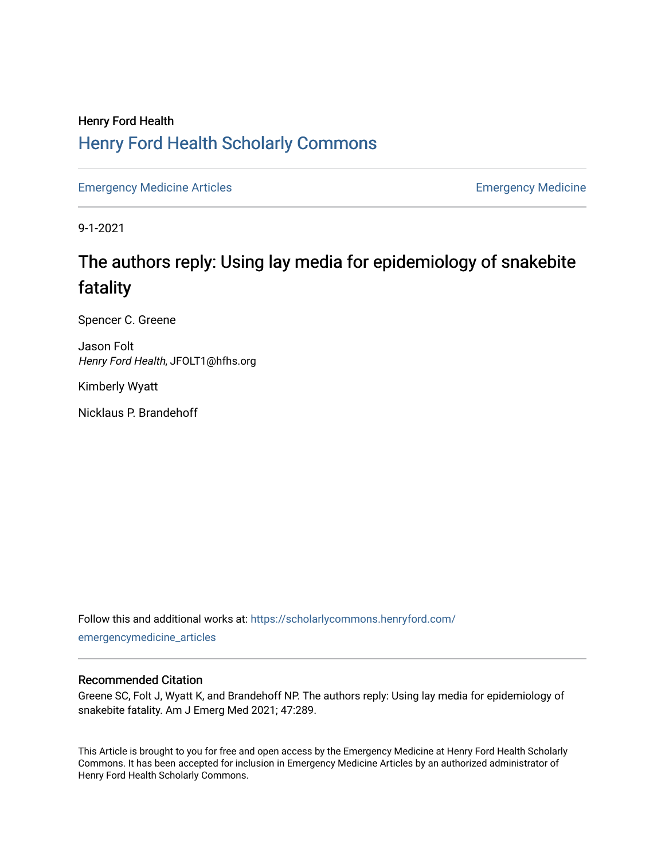## Henry Ford Health [Henry Ford Health Scholarly Commons](https://scholarlycommons.henryford.com/)

[Emergency Medicine Articles](https://scholarlycommons.henryford.com/emergencymedicine_articles) **Emergency Medicine** 

9-1-2021

# The authors reply: Using lay media for epidemiology of snakebite fatality

Spencer C. Greene

Jason Folt Henry Ford Health, JFOLT1@hfhs.org

Kimberly Wyatt

Nicklaus P. Brandehoff

Follow this and additional works at: [https://scholarlycommons.henryford.com/](https://scholarlycommons.henryford.com/emergencymedicine_articles?utm_source=scholarlycommons.henryford.com%2Femergencymedicine_articles%2F243&utm_medium=PDF&utm_campaign=PDFCoverPages) [emergencymedicine\\_articles](https://scholarlycommons.henryford.com/emergencymedicine_articles?utm_source=scholarlycommons.henryford.com%2Femergencymedicine_articles%2F243&utm_medium=PDF&utm_campaign=PDFCoverPages) 

## Recommended Citation

Greene SC, Folt J, Wyatt K, and Brandehoff NP. The authors reply: Using lay media for epidemiology of snakebite fatality. Am J Emerg Med 2021; 47:289.

This Article is brought to you for free and open access by the Emergency Medicine at Henry Ford Health Scholarly Commons. It has been accepted for inclusion in Emergency Medicine Articles by an authorized administrator of Henry Ford Health Scholarly Commons.